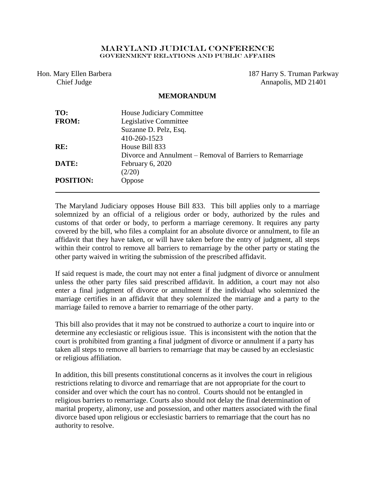## Maryland Judicial Conference Government Relations AND PUBLIC AFFAIRS

Hon. Mary Ellen Barbera Chief Judge

187 Harry S. Truman Parkway Annapolis, MD 21401

## **MEMORANDUM**

| TO:              | House Judiciary Committee                                 |
|------------------|-----------------------------------------------------------|
| <b>FROM:</b>     | Legislative Committee                                     |
|                  | Suzanne D. Pelz, Esq.                                     |
|                  | 410-260-1523                                              |
| RE:              | House Bill 833                                            |
|                  | Divorce and Annulment – Removal of Barriers to Remarriage |
| DATE:            | February 6, 2020                                          |
|                  | (2/20)                                                    |
| <b>POSITION:</b> | Oppose                                                    |
|                  |                                                           |

The Maryland Judiciary opposes House Bill 833. This bill applies only to a marriage solemnized by an official of a religious order or body, authorized by the rules and customs of that order or body, to perform a marriage ceremony. It requires any party covered by the bill, who files a complaint for an absolute divorce or annulment, to file an affidavit that they have taken, or will have taken before the entry of judgment, all steps within their control to remove all barriers to remarriage by the other party or stating the other party waived in writing the submission of the prescribed affidavit.

If said request is made, the court may not enter a final judgment of divorce or annulment unless the other party files said prescribed affidavit. In addition, a court may not also enter a final judgment of divorce or annulment if the individual who solemnized the marriage certifies in an affidavit that they solemnized the marriage and a party to the marriage failed to remove a barrier to remarriage of the other party.

This bill also provides that it may not be construed to authorize a court to inquire into or determine any ecclesiastic or religious issue. This is inconsistent with the notion that the court is prohibited from granting a final judgment of divorce or annulment if a party has taken all steps to remove all barriers to remarriage that may be caused by an ecclesiastic or religious affiliation.

In addition, this bill presents constitutional concerns as it involves the court in religious restrictions relating to divorce and remarriage that are not appropriate for the court to consider and over which the court has no control. Courts should not be entangled in religious barriers to remarriage. Courts also should not delay the final determination of marital property, alimony, use and possession, and other matters associated with the final divorce based upon religious or ecclesiastic barriers to remarriage that the court has no authority to resolve.